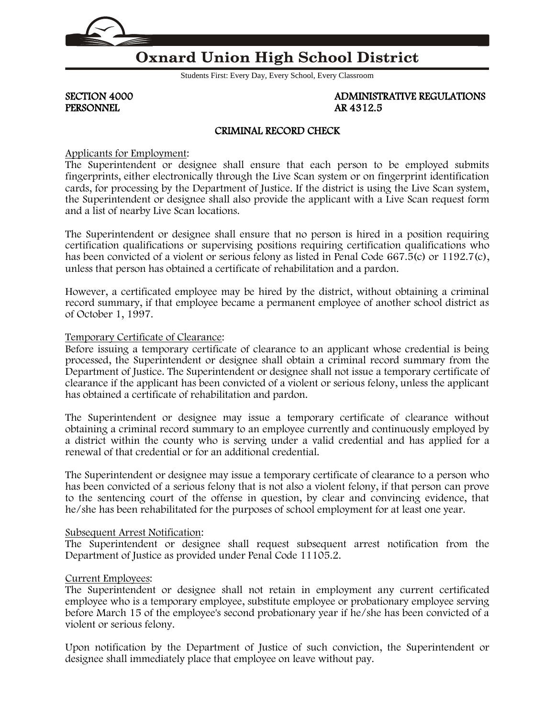

# **Oxnard Union High School District**

Students First: Every Day, Every School, Every Classroom

PERSONNEL AR 4312.5

SECTION 4000 ADMINISTRATIVE REGULATIONS

## CRIMINAL RECORD CHECK

Applicants for Employment:

The Superintendent or designee shall ensure that each person to be employed submits fingerprints, either electronically through the Live Scan system or on fingerprint identification cards, for processing by the Department of Justice. If the district is using the Live Scan system, the Superintendent or designee shall also provide the applicant with a Live Scan request form and a list of nearby Live Scan locations.

The Superintendent or designee shall ensure that no person is hired in a position requiring certification qualifications or supervising positions requiring certification qualifications who has been convicted of a violent or serious felony as listed in Penal Code [667.5\(](http://www.gamutonline.net/displayPolicy/169633/4)c) or 1192.7(c), unless that person has obtained a certificate of rehabilitation and a pardon.

However, a certificated employee may be hired by the district, without obtaining a criminal record summary, if that employee became a permanent employee of another school district as of October 1, 1997.

### Temporary Certificate of Clearance:

Before issuing a temporary certificate of clearance to an applicant whose credential is being processed, the Superintendent or designee shall obtain a criminal record summary from the Department of Justice. The Superintendent or designee shall not issue a temporary certificate of clearance if the applicant has been convicted of a violent or serious felony, unless the applicant has obtained a certificate of rehabilitation and pardon.

The Superintendent or designee may issue a temporary certificate of clearance without obtaining a criminal record summary to an employee currently and continuously employed by a district within the county who is serving under a valid credential and has applied for a renewal of that credential or for an additional credential.

The Superintendent or designee may issue a temporary certificate of clearance to a person who has been convicted of a serious felony that is not also a violent felony, if that person can prove to the sentencing court of the offense in question, by clear and convincing evidence, that he/she has been rehabilitated for the purposes of school employment for at least one year.

#### Subsequent Arrest Notification:

The Superintendent or designee shall request subsequent arrest notification from the Department of Justice as provided under Penal Code [11105.2.](http://www.gamutonline.net/displayPolicy/169714/4)

## Current Employees:

The Superintendent or designee shall not retain in employment any current certificated employee who is a temporary employee, substitute employee or probationary employee serving before March 15 of the employee's second probationary year if he/she has been convicted of a violent or serious felony.

Upon notification by the Department of Justice of such conviction, the Superintendent or designee shall immediately place that employee on leave without pay.